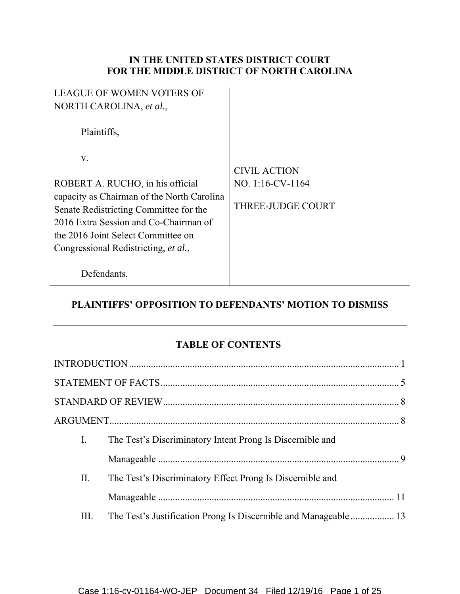## **IN THE UNITED STATES DISTRICT COURT FOR THE MIDDLE DISTRICT OF NORTH CAROLINA**

| <b>LEAGUE OF WOMEN VOTERS OF</b>           |                          |
|--------------------------------------------|--------------------------|
| NORTH CAROLINA, et al.,                    |                          |
| Plaintiffs,                                |                          |
| V.                                         |                          |
|                                            | <b>CIVIL ACTION</b>      |
| ROBERT A. RUCHO, in his official           | NO. 1:16-CV-1164         |
| capacity as Chairman of the North Carolina |                          |
| Senate Redistricting Committee for the     | <b>THREE-JUDGE COURT</b> |
| 2016 Extra Session and Co-Chairman of      |                          |
| the 2016 Joint Select Committee on         |                          |
| Congressional Redistricting, et al.,       |                          |
| Defendants.                                |                          |

# **PLAINTIFFS' OPPOSITION TO DEFENDANTS' MOTION TO DISMISS**

## **TABLE OF CONTENTS**

| I.   | The Test's Discriminatory Intent Prong Is Discernible and       |  |
|------|-----------------------------------------------------------------|--|
|      |                                                                 |  |
| П.   | The Test's Discriminatory Effect Prong Is Discernible and       |  |
|      |                                                                 |  |
| III. | The Test's Justification Prong Is Discernible and Manageable 13 |  |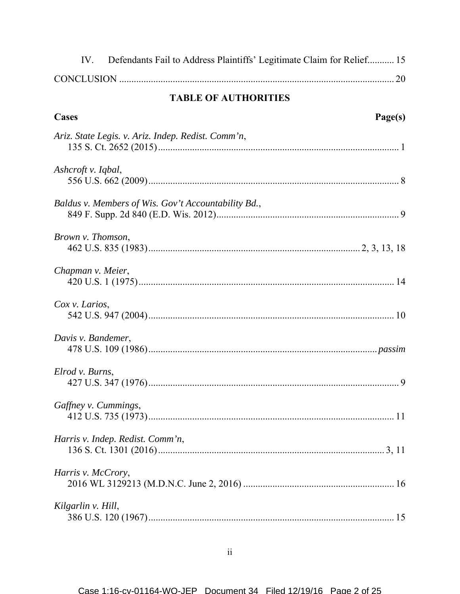| Defendants Fail to Address Plaintiffs' Legitimate Claim for Relief 15<br>IV. |
|------------------------------------------------------------------------------|
|                                                                              |
| <b>TABLE OF AUTHORITIES</b>                                                  |
| Cases<br>Page(s)                                                             |
| Ariz. State Legis. v. Ariz. Indep. Redist. Comm'n,                           |
| Ashcroft v. Iqbal,                                                           |
| Baldus v. Members of Wis. Gov't Accountability Bd.,                          |
| Brown v. Thomson,                                                            |
| Chapman v. Meier,                                                            |
| Cox v. Larios,                                                               |
| Davis v. Bandemer,                                                           |
| Elrod v. Burns,                                                              |
| Gaffney v. Cummings,                                                         |
| Harris v. Indep. Redist. Comm'n,                                             |
| Harris v. McCrory,                                                           |
| Kilgarlin v. Hill,                                                           |

 $\ddot{\rm ii}$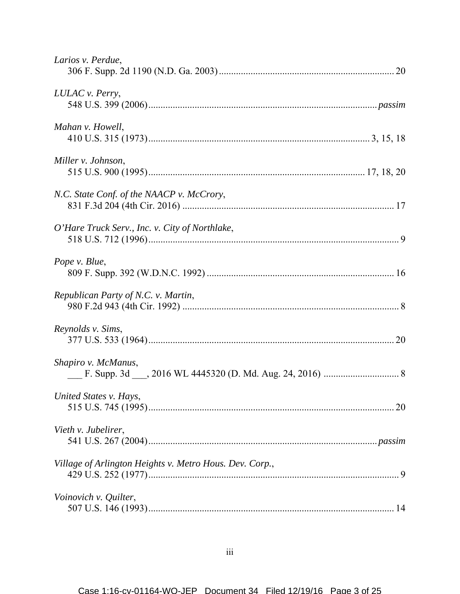| Larios v. Perdue,                                       |
|---------------------------------------------------------|
| LULAC v. Perry,                                         |
| Mahan v. Howell,                                        |
| Miller v. Johnson,                                      |
| N.C. State Conf. of the NAACP v. McCrory,               |
| O'Hare Truck Serv., Inc. v. City of Northlake,          |
| Pope v. Blue,                                           |
| Republican Party of N.C. v. Martin,                     |
| Reynolds v. Sims,                                       |
| Shapiro v. McManus,                                     |
| United States v. Hays,                                  |
| Vieth v. Jubelirer,                                     |
| Village of Arlington Heights v. Metro Hous. Dev. Corp., |
| Voinovich v. Quilter,                                   |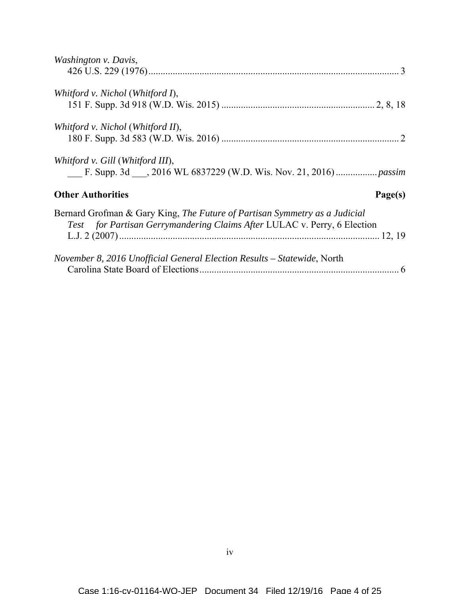| Washington v. Davis,                                                                                                                                   |         |
|--------------------------------------------------------------------------------------------------------------------------------------------------------|---------|
|                                                                                                                                                        |         |
| Whitford v. Nichol (Whitford I),                                                                                                                       |         |
|                                                                                                                                                        |         |
| Whitford v. Nichol (Whitford II),                                                                                                                      |         |
|                                                                                                                                                        |         |
| Whitford v. Gill (Whitford III),                                                                                                                       |         |
|                                                                                                                                                        |         |
| <b>Other Authorities</b>                                                                                                                               | Page(s) |
| Bernard Grofman & Gary King, The Future of Partisan Symmetry as a Judicial<br>Test for Partisan Gerrymandering Claims After LULAC v. Perry, 6 Election |         |
|                                                                                                                                                        |         |
| November 8, 2016 Unofficial General Election Results – Statewide, North                                                                                |         |
|                                                                                                                                                        |         |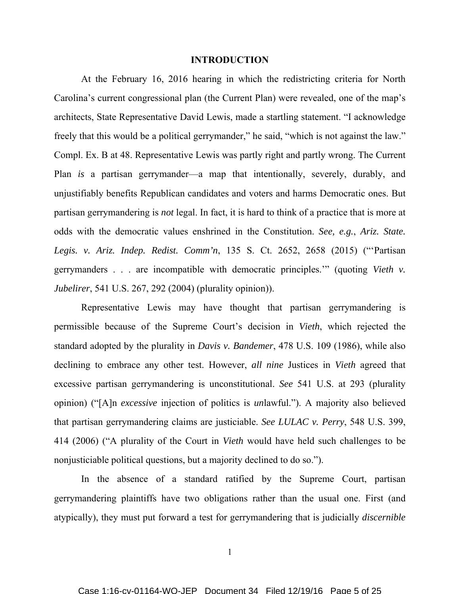#### **INTRODUCTION**

At the February 16, 2016 hearing in which the redistricting criteria for North Carolina's current congressional plan (the Current Plan) were revealed, one of the map's architects, State Representative David Lewis, made a startling statement. "I acknowledge freely that this would be a political gerrymander," he said, "which is not against the law." Compl. Ex. B at 48. Representative Lewis was partly right and partly wrong. The Current Plan *is* a partisan gerrymander—a map that intentionally, severely, durably, and unjustifiably benefits Republican candidates and voters and harms Democratic ones. But partisan gerrymandering is *not* legal. In fact, it is hard to think of a practice that is more at odds with the democratic values enshrined in the Constitution. *See, e.g.*, *Ariz. State. Legis. v. Ariz. Indep. Redist. Comm'n*, 135 S. Ct. 2652, 2658 (2015) ("'Partisan gerrymanders . . . are incompatible with democratic principles.'" (quoting *Vieth v. Jubelirer*, 541 U.S. 267, 292 (2004) (plurality opinion)).

 Representative Lewis may have thought that partisan gerrymandering is permissible because of the Supreme Court's decision in *Vieth*, which rejected the standard adopted by the plurality in *Davis v. Bandemer*, 478 U.S. 109 (1986), while also declining to embrace any other test. However, *all nine* Justices in *Vieth* agreed that excessive partisan gerrymandering is unconstitutional. *See* 541 U.S. at 293 (plurality opinion) ("[A]n *excessive* injection of politics is *un*lawful."). A majority also believed that partisan gerrymandering claims are justiciable. *See LULAC v. Perry*, 548 U.S. 399, 414 (2006) ("A plurality of the Court in *Vieth* would have held such challenges to be nonjusticiable political questions, but a majority declined to do so.").

 In the absence of a standard ratified by the Supreme Court, partisan gerrymandering plaintiffs have two obligations rather than the usual one. First (and atypically), they must put forward a test for gerrymandering that is judicially *discernible*

1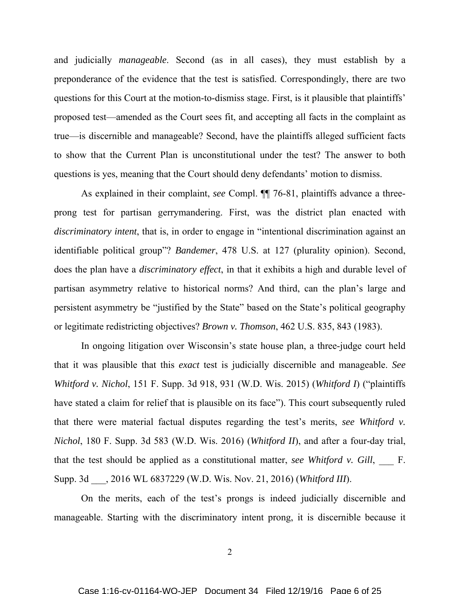and judicially *manageable*. Second (as in all cases), they must establish by a preponderance of the evidence that the test is satisfied. Correspondingly, there are two questions for this Court at the motion-to-dismiss stage. First, is it plausible that plaintiffs' proposed test—amended as the Court sees fit, and accepting all facts in the complaint as true—is discernible and manageable? Second, have the plaintiffs alleged sufficient facts to show that the Current Plan is unconstitutional under the test? The answer to both questions is yes, meaning that the Court should deny defendants' motion to dismiss.

 As explained in their complaint, *see* Compl. ¶¶ 76-81, plaintiffs advance a threeprong test for partisan gerrymandering. First, was the district plan enacted with *discriminatory intent*, that is, in order to engage in "intentional discrimination against an identifiable political group"? *Bandemer*, 478 U.S. at 127 (plurality opinion). Second, does the plan have a *discriminatory effect*, in that it exhibits a high and durable level of partisan asymmetry relative to historical norms? And third, can the plan's large and persistent asymmetry be "justified by the State" based on the State's political geography or legitimate redistricting objectives? *Brown v. Thomson*, 462 U.S. 835, 843 (1983).

 In ongoing litigation over Wisconsin's state house plan, a three-judge court held that it was plausible that this *exact* test is judicially discernible and manageable. *See Whitford v. Nichol*, 151 F. Supp. 3d 918, 931 (W.D. Wis. 2015) (*Whitford I*) ("plaintiffs have stated a claim for relief that is plausible on its face"). This court subsequently ruled that there were material factual disputes regarding the test's merits, *see Whitford v. Nichol*, 180 F. Supp. 3d 583 (W.D. Wis. 2016) (*Whitford II*), and after a four-day trial, that the test should be applied as a constitutional matter, *see Whitford v. Gill*, F. Supp. 3d \_\_\_, 2016 WL 6837229 (W.D. Wis. Nov. 21, 2016) (*Whitford III*).

 On the merits, each of the test's prongs is indeed judicially discernible and manageable. Starting with the discriminatory intent prong, it is discernible because it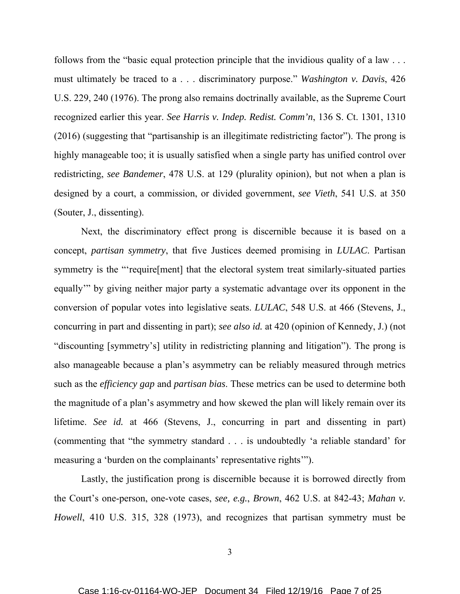follows from the "basic equal protection principle that the invidious quality of a law . . . must ultimately be traced to a . . . discriminatory purpose." *Washington v. Davis*, 426 U.S. 229, 240 (1976). The prong also remains doctrinally available, as the Supreme Court recognized earlier this year. *See Harris v. Indep. Redist. Comm'n*, 136 S. Ct. 1301, 1310 (2016) (suggesting that "partisanship is an illegitimate redistricting factor"). The prong is highly manageable too; it is usually satisfied when a single party has unified control over redistricting, *see Bandemer*, 478 U.S. at 129 (plurality opinion), but not when a plan is designed by a court, a commission, or divided government, *see Vieth*, 541 U.S. at 350 (Souter, J., dissenting).

 Next, the discriminatory effect prong is discernible because it is based on a concept, *partisan symmetry*, that five Justices deemed promising in *LULAC*. Partisan symmetry is the "'require[ment] that the electoral system treat similarly-situated parties equally'" by giving neither major party a systematic advantage over its opponent in the conversion of popular votes into legislative seats. *LULAC*, 548 U.S. at 466 (Stevens, J., concurring in part and dissenting in part); *see also id.* at 420 (opinion of Kennedy, J.) (not "discounting [symmetry's] utility in redistricting planning and litigation"). The prong is also manageable because a plan's asymmetry can be reliably measured through metrics such as the *efficiency gap* and *partisan bias*. These metrics can be used to determine both the magnitude of a plan's asymmetry and how skewed the plan will likely remain over its lifetime. *See id.* at 466 (Stevens, J., concurring in part and dissenting in part) (commenting that "the symmetry standard . . . is undoubtedly 'a reliable standard' for measuring a 'burden on the complainants' representative rights'").

 Lastly, the justification prong is discernible because it is borrowed directly from the Court's one-person, one-vote cases, *see, e.g.*, *Brown*, 462 U.S. at 842-43; *Mahan v. Howell*, 410 U.S. 315, 328 (1973), and recognizes that partisan symmetry must be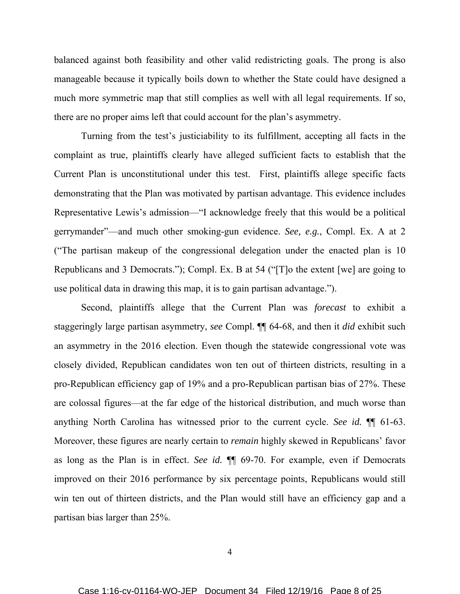balanced against both feasibility and other valid redistricting goals. The prong is also manageable because it typically boils down to whether the State could have designed a much more symmetric map that still complies as well with all legal requirements. If so, there are no proper aims left that could account for the plan's asymmetry.

 Turning from the test's justiciability to its fulfillment, accepting all facts in the complaint as true, plaintiffs clearly have alleged sufficient facts to establish that the Current Plan is unconstitutional under this test. First, plaintiffs allege specific facts demonstrating that the Plan was motivated by partisan advantage. This evidence includes Representative Lewis's admission—"I acknowledge freely that this would be a political gerrymander"—and much other smoking-gun evidence. *See, e.g.*, Compl. Ex. A at 2 ("The partisan makeup of the congressional delegation under the enacted plan is 10 Republicans and 3 Democrats."); Compl. Ex. B at 54 ("[T]o the extent [we] are going to use political data in drawing this map, it is to gain partisan advantage.").

 Second, plaintiffs allege that the Current Plan was *forecast* to exhibit a staggeringly large partisan asymmetry, *see* Compl. ¶¶ 64-68, and then it *did* exhibit such an asymmetry in the 2016 election. Even though the statewide congressional vote was closely divided, Republican candidates won ten out of thirteen districts, resulting in a pro-Republican efficiency gap of 19% and a pro-Republican partisan bias of 27%. These are colossal figures—at the far edge of the historical distribution, and much worse than anything North Carolina has witnessed prior to the current cycle. *See id.* ¶¶ 61-63. Moreover, these figures are nearly certain to *remain* highly skewed in Republicans' favor as long as the Plan is in effect. *See id.* ¶¶ 69-70. For example, even if Democrats improved on their 2016 performance by six percentage points, Republicans would still win ten out of thirteen districts, and the Plan would still have an efficiency gap and a partisan bias larger than 25%.

4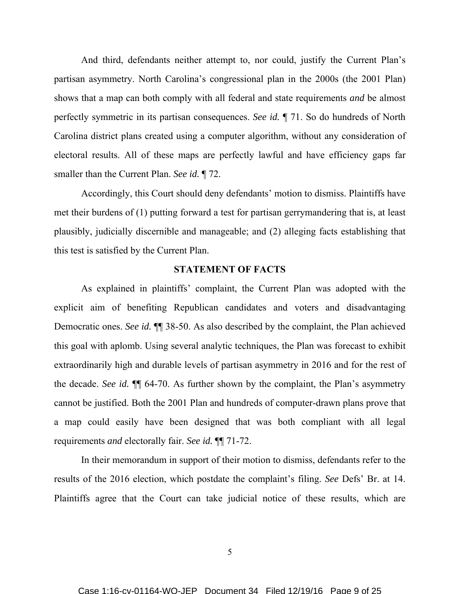And third, defendants neither attempt to, nor could, justify the Current Plan's partisan asymmetry. North Carolina's congressional plan in the 2000s (the 2001 Plan) shows that a map can both comply with all federal and state requirements *and* be almost perfectly symmetric in its partisan consequences. *See id.* ¶ 71. So do hundreds of North Carolina district plans created using a computer algorithm, without any consideration of electoral results. All of these maps are perfectly lawful and have efficiency gaps far smaller than the Current Plan. *See id.* ¶ 72.

 Accordingly, this Court should deny defendants' motion to dismiss. Plaintiffs have met their burdens of (1) putting forward a test for partisan gerrymandering that is, at least plausibly, judicially discernible and manageable; and (2) alleging facts establishing that this test is satisfied by the Current Plan.

## **STATEMENT OF FACTS**

As explained in plaintiffs' complaint, the Current Plan was adopted with the explicit aim of benefiting Republican candidates and voters and disadvantaging Democratic ones. *See id.* ¶¶ 38-50. As also described by the complaint, the Plan achieved this goal with aplomb. Using several analytic techniques, the Plan was forecast to exhibit extraordinarily high and durable levels of partisan asymmetry in 2016 and for the rest of the decade. *See id.* ¶¶ 64-70. As further shown by the complaint, the Plan's asymmetry cannot be justified. Both the 2001 Plan and hundreds of computer-drawn plans prove that a map could easily have been designed that was both compliant with all legal requirements *and* electorally fair. *See id.* ¶¶ 71-72.

 In their memorandum in support of their motion to dismiss, defendants refer to the results of the 2016 election, which postdate the complaint's filing. *See* Defs' Br. at 14. Plaintiffs agree that the Court can take judicial notice of these results, which are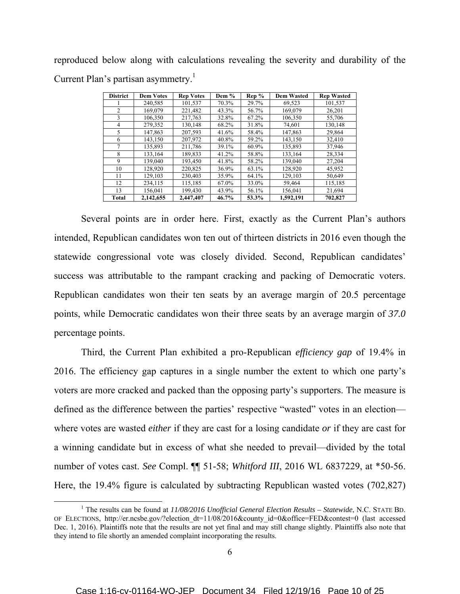reproduced below along with calculations revealing the severity and durability of the Current Plan's partisan asymmetry.<sup>1</sup>

| <b>District</b> | <b>Dem Votes</b> | <b>Rep Votes</b> | Dem % | Rep % | <b>Dem Wasted</b> | <b>Rep Wasted</b> |
|-----------------|------------------|------------------|-------|-------|-------------------|-------------------|
|                 | 240,585          | 101,537          | 70.3% | 29.7% | 69,523            | 101,537           |
| 2               | 169,079          | 221,482          | 43.3% | 56.7% | 169,079           | 26,201            |
| 3               | 106.350          | 217,763          | 32.8% | 67.2% | 106,350           | 55,706            |
| 4               | 279,352          | 130.148          | 68.2% | 31.8% | 74.601            | 130.148           |
| 5               | 147,863          | 207,593          | 41.6% | 58.4% | 147,863           | 29,864            |
| 6               | 143,150          | 207,972          | 40.8% | 59.2% | 143,150           | 32,410            |
| 7               | 135,893          | 211,786          | 39.1% | 60.9% | 135,893           | 37,946            |
| 8               | 133,164          | 189,833          | 41.2% | 58.8% | 133,164           | 28,334            |
| 9               | 139,040          | 193,450          | 41.8% | 58.2% | 139,040           | 27,204            |
| 10              | 128,920          | 220,825          | 36.9% | 63.1% | 128,920           | 45.952            |
| 11              | 129,103          | 230,403          | 35.9% | 64.1% | 129,103           | 50,649            |
| 12              | 234,115          | 115.185          | 67.0% | 33.0% | 59,464            | 115.185           |
| 13              | 156,041          | 199,430          | 43.9% | 56.1% | 156,041           | 21,694            |
| Total           | 2,142,655        | 2,447,407        | 46.7% | 53.3% | 1,592,191         | 702,827           |

 Several points are in order here. First, exactly as the Current Plan's authors intended, Republican candidates won ten out of thirteen districts in 2016 even though the statewide congressional vote was closely divided. Second, Republican candidates' success was attributable to the rampant cracking and packing of Democratic voters. Republican candidates won their ten seats by an average margin of 20.5 percentage points, while Democratic candidates won their three seats by an average margin of *37.0* percentage points.

Third, the Current Plan exhibited a pro-Republican *efficiency gap* of 19.4% in 2016. The efficiency gap captures in a single number the extent to which one party's voters are more cracked and packed than the opposing party's supporters. The measure is defined as the difference between the parties' respective "wasted" votes in an election where votes are wasted *either* if they are cast for a losing candidate *or* if they are cast for a winning candidate but in excess of what she needed to prevail—divided by the total number of votes cast. *See* Compl. ¶¶ 51-58; *Whitford III*, 2016 WL 6837229, at \*50-56. Here, the 19.4% figure is calculated by subtracting Republican wasted votes (702,827)

 <sup>1</sup> The results can be found at *11/08/2016 Unofficial General Election Results – Statewide*, N.C. STATE BD. OF ELECTIONS, http://er.ncsbe.gov/?election\_dt=11/08/2016&county\_id=0&office=FED&contest=0 (last accessed Dec. 1, 2016). Plaintiffs note that the results are not yet final and may still change slightly. Plaintiffs also note that they intend to file shortly an amended complaint incorporating the results.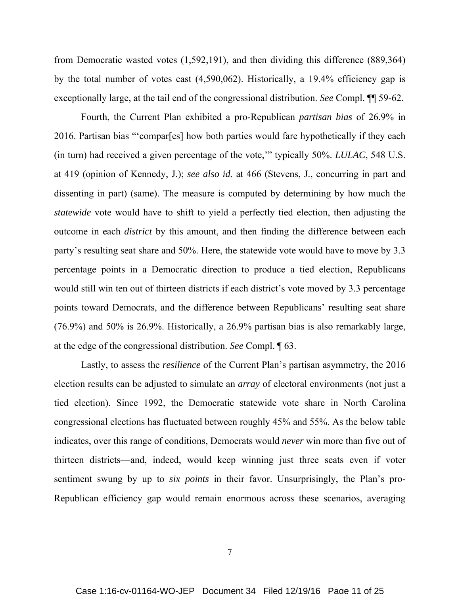from Democratic wasted votes (1,592,191), and then dividing this difference (889,364) by the total number of votes cast (4,590,062). Historically, a 19.4% efficiency gap is exceptionally large, at the tail end of the congressional distribution. *See* Compl. ¶¶ 59-62.

Fourth, the Current Plan exhibited a pro-Republican *partisan bias* of 26.9% in 2016. Partisan bias "'compar[es] how both parties would fare hypothetically if they each (in turn) had received a given percentage of the vote,'" typically 50%. *LULAC*, 548 U.S. at 419 (opinion of Kennedy, J.); *see also id.* at 466 (Stevens, J., concurring in part and dissenting in part) (same). The measure is computed by determining by how much the *statewide* vote would have to shift to yield a perfectly tied election, then adjusting the outcome in each *district* by this amount, and then finding the difference between each party's resulting seat share and 50%. Here, the statewide vote would have to move by 3.3 percentage points in a Democratic direction to produce a tied election, Republicans would still win ten out of thirteen districts if each district's vote moved by 3.3 percentage points toward Democrats, and the difference between Republicans' resulting seat share (76.9%) and 50% is 26.9%. Historically, a 26.9% partisan bias is also remarkably large, at the edge of the congressional distribution. *See* Compl. ¶ 63.

Lastly, to assess the *resilience* of the Current Plan's partisan asymmetry, the 2016 election results can be adjusted to simulate an *array* of electoral environments (not just a tied election). Since 1992, the Democratic statewide vote share in North Carolina congressional elections has fluctuated between roughly 45% and 55%. As the below table indicates, over this range of conditions, Democrats would *never* win more than five out of thirteen districts—and, indeed, would keep winning just three seats even if voter sentiment swung by up to *six points* in their favor. Unsurprisingly, the Plan's pro-Republican efficiency gap would remain enormous across these scenarios, averaging

7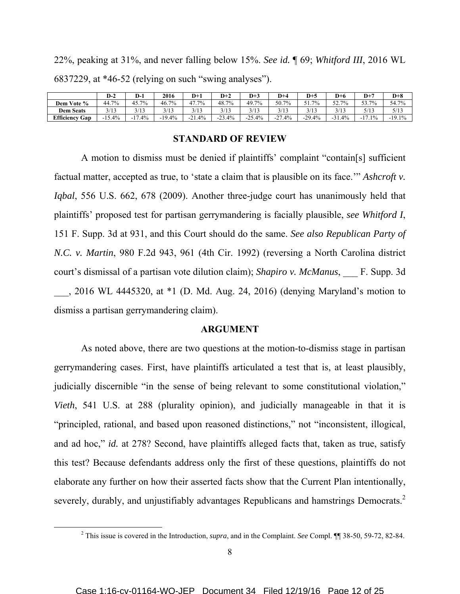22%, peaking at 31%, and never falling below 15%. *See id.* ¶ 69; *Whitford III*, 2016 WL 6837229, at \*46-52 (relying on such "swing analyses").

|                          | $D-2$         | D-1              | 2016     | D+1                        | $D+2$    | $D+3$    | $D+4$    | $D+5$    | $D+6$    | $D+7$                             | $D+8$    |
|--------------------------|---------------|------------------|----------|----------------------------|----------|----------|----------|----------|----------|-----------------------------------|----------|
| Vote %<br>Dem            | 7%<br>44.7.   | $15.7\%$<br>42.7 | 46.7%    | 47.7%                      | 48.7%    | 49.7%    | 50.7%    | 51.7%    | 52.7%    | 53.7%<br>JJ.I                     | 54.7%    |
| <b>Dem Seats</b>         | 2112<br>د ۱ د | 3/13             | 3/13     | 3/13                       | 3/13     | 3/13     | 3/13     | 3/13     | 3/13     | 5/13                              | 5/13     |
| <b>Efficiency</b><br>Gap | 15.4%         | 17.4%<br>- 1     | $-19.4%$ | .4%<br>$^{\circ}$ 1<br>-4. | $-23.4%$ | $-25.4%$ | $-27.4%$ | $-29.4%$ | $-31.4%$ | $\overline{ }$<br>$.1\%$<br>$-11$ | $-19.1%$ |

#### **STANDARD OF REVIEW**

A motion to dismiss must be denied if plaintiffs' complaint "contain[s] sufficient factual matter, accepted as true, to 'state a claim that is plausible on its face.'" *Ashcroft v. Iqbal*, 556 U.S. 662, 678 (2009). Another three-judge court has unanimously held that plaintiffs' proposed test for partisan gerrymandering is facially plausible, *see Whitford I*, 151 F. Supp. 3d at 931, and this Court should do the same. *See also Republican Party of N.C. v. Martin*, 980 F.2d 943, 961 (4th Cir. 1992) (reversing a North Carolina district court's dismissal of a partisan vote dilution claim); *Shapiro v. McManus*, \_\_\_ F. Supp. 3d \_\_\_, 2016 WL 4445320, at \*1 (D. Md. Aug. 24, 2016) (denying Maryland's motion to dismiss a partisan gerrymandering claim).

#### **ARGUMENT**

 As noted above, there are two questions at the motion-to-dismiss stage in partisan gerrymandering cases. First, have plaintiffs articulated a test that is, at least plausibly, judicially discernible "in the sense of being relevant to some constitutional violation," *Vieth*, 541 U.S. at 288 (plurality opinion), and judicially manageable in that it is "principled, rational, and based upon reasoned distinctions," not "inconsistent, illogical, and ad hoc," *id.* at 278? Second, have plaintiffs alleged facts that, taken as true, satisfy this test? Because defendants address only the first of these questions, plaintiffs do not elaborate any further on how their asserted facts show that the Current Plan intentionally, severely, durably, and unjustifiably advantages Republicans and hamstrings Democrats.<sup>2</sup>

 <sup>2</sup> This issue is covered in the Introduction, *supra*, and in the Complaint. *See* Compl. ¶¶ 38-50, 59-72, 82-84.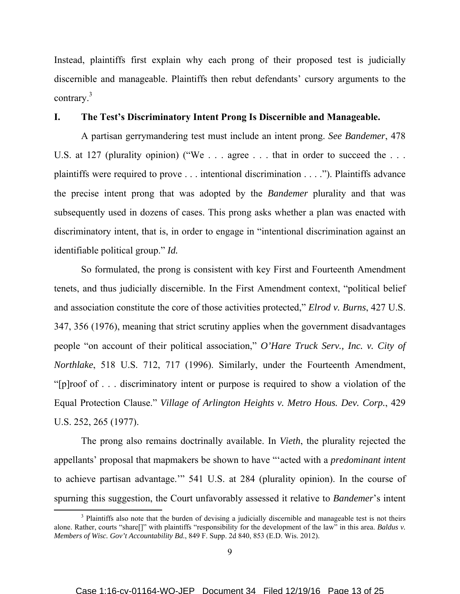Instead, plaintiffs first explain why each prong of their proposed test is judicially discernible and manageable. Plaintiffs then rebut defendants' cursory arguments to the contrary.<sup>3</sup>

## **I. The Test's Discriminatory Intent Prong Is Discernible and Manageable.**

 A partisan gerrymandering test must include an intent prong. *See Bandemer*, 478 U.S. at 127 (plurality opinion) ("We . . . agree . . . that in order to succeed the . . . plaintiffs were required to prove . . . intentional discrimination . . . ."). Plaintiffs advance the precise intent prong that was adopted by the *Bandemer* plurality and that was subsequently used in dozens of cases. This prong asks whether a plan was enacted with discriminatory intent, that is, in order to engage in "intentional discrimination against an identifiable political group." *Id.*

 So formulated, the prong is consistent with key First and Fourteenth Amendment tenets, and thus judicially discernible. In the First Amendment context, "political belief and association constitute the core of those activities protected," *Elrod v. Burns*, 427 U.S. 347, 356 (1976), meaning that strict scrutiny applies when the government disadvantages people "on account of their political association," *O'Hare Truck Serv., Inc. v. City of Northlake*, 518 U.S. 712, 717 (1996). Similarly, under the Fourteenth Amendment, "[p]roof of . . . discriminatory intent or purpose is required to show a violation of the Equal Protection Clause." *Village of Arlington Heights v. Metro Hous. Dev. Corp.*, 429 U.S. 252, 265 (1977).

 The prong also remains doctrinally available. In *Vieth*, the plurality rejected the appellants' proposal that mapmakers be shown to have "'acted with a *predominant intent* to achieve partisan advantage.'" 541 U.S. at 284 (plurality opinion). In the course of spurning this suggestion, the Court unfavorably assessed it relative to *Bandemer*'s intent

<sup>&</sup>lt;sup>3</sup> Plaintiffs also note that the burden of devising a judicially discernible and manageable test is not theirs alone. Rather, courts "share[]" with plaintiffs "responsibility for the development of the law" in this area. *Baldus v. Members of Wisc. Gov't Accountability Bd.*, 849 F. Supp. 2d 840, 853 (E.D. Wis. 2012).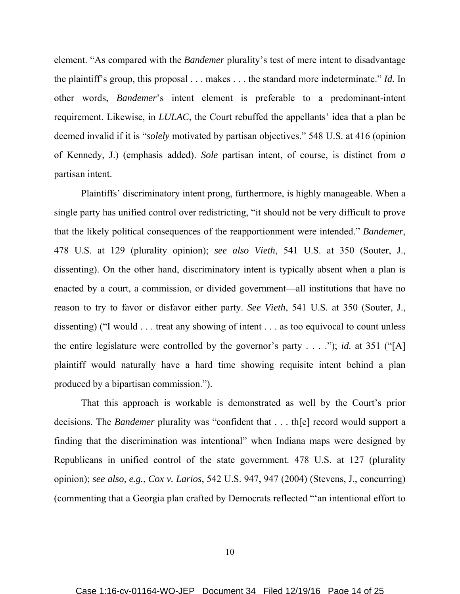element. "As compared with the *Bandemer* plurality's test of mere intent to disadvantage the plaintiff's group, this proposal . . . makes . . . the standard more indeterminate." *Id.* In other words, *Bandemer*'s intent element is preferable to a predominant-intent requirement. Likewise, in *LULAC*, the Court rebuffed the appellants' idea that a plan be deemed invalid if it is "*solely* motivated by partisan objectives." 548 U.S. at 416 (opinion of Kennedy, J.) (emphasis added). *Sole* partisan intent, of course, is distinct from *a* partisan intent.

 Plaintiffs' discriminatory intent prong, furthermore, is highly manageable. When a single party has unified control over redistricting, "it should not be very difficult to prove that the likely political consequences of the reapportionment were intended." *Bandemer*, 478 U.S. at 129 (plurality opinion); *see also Vieth*, 541 U.S. at 350 (Souter, J., dissenting). On the other hand, discriminatory intent is typically absent when a plan is enacted by a court, a commission, or divided government—all institutions that have no reason to try to favor or disfavor either party. *See Vieth*, 541 U.S. at 350 (Souter, J., dissenting) ("I would . . . treat any showing of intent . . . as too equivocal to count unless the entire legislature were controlled by the governor's party . . . ."); *id.* at 351 ("[A] plaintiff would naturally have a hard time showing requisite intent behind a plan produced by a bipartisan commission.").

 That this approach is workable is demonstrated as well by the Court's prior decisions. The *Bandemer* plurality was "confident that . . . th[e] record would support a finding that the discrimination was intentional" when Indiana maps were designed by Republicans in unified control of the state government. 478 U.S. at 127 (plurality opinion); *see also, e.g.*, *Cox v. Larios*, 542 U.S. 947, 947 (2004) (Stevens, J., concurring) (commenting that a Georgia plan crafted by Democrats reflected "'an intentional effort to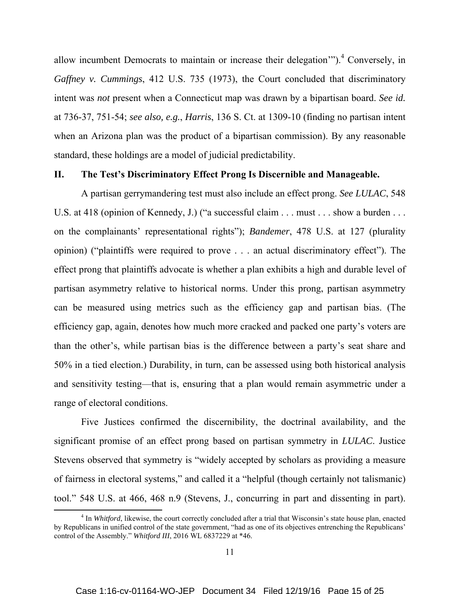allow incumbent Democrats to maintain or increase their delegation").<sup>4</sup> Conversely, in *Gaffney v. Cummings*, 412 U.S. 735 (1973), the Court concluded that discriminatory intent was *not* present when a Connecticut map was drawn by a bipartisan board. *See id.* at 736-37, 751-54; *see also, e.g.*, *Harris*, 136 S. Ct. at 1309-10 (finding no partisan intent when an Arizona plan was the product of a bipartisan commission). By any reasonable standard, these holdings are a model of judicial predictability.

## **II. The Test's Discriminatory Effect Prong Is Discernible and Manageable.**

 A partisan gerrymandering test must also include an effect prong. *See LULAC*, 548 U.S. at 418 (opinion of Kennedy, J.) ("a successful claim . . . must . . . show a burden . . . on the complainants' representational rights"); *Bandemer*, 478 U.S. at 127 (plurality opinion) ("plaintiffs were required to prove . . . an actual discriminatory effect"). The effect prong that plaintiffs advocate is whether a plan exhibits a high and durable level of partisan asymmetry relative to historical norms. Under this prong, partisan asymmetry can be measured using metrics such as the efficiency gap and partisan bias. (The efficiency gap, again, denotes how much more cracked and packed one party's voters are than the other's, while partisan bias is the difference between a party's seat share and 50% in a tied election.) Durability, in turn, can be assessed using both historical analysis and sensitivity testing—that is, ensuring that a plan would remain asymmetric under a range of electoral conditions.

 Five Justices confirmed the discernibility, the doctrinal availability, and the significant promise of an effect prong based on partisan symmetry in *LULAC*. Justice Stevens observed that symmetry is "widely accepted by scholars as providing a measure of fairness in electoral systems," and called it a "helpful (though certainly not talismanic) tool." 548 U.S. at 466, 468 n.9 (Stevens, J., concurring in part and dissenting in part).

<sup>&</sup>lt;sup>4</sup> In *Whitford*, likewise, the court correctly concluded after a trial that Wisconsin's state house plan, enacted by Republicans in unified control of the state government, "had as one of its objectives entrenching the Republicans' control of the Assembly." *Whitford III*, 2016 WL 6837229 at \*46.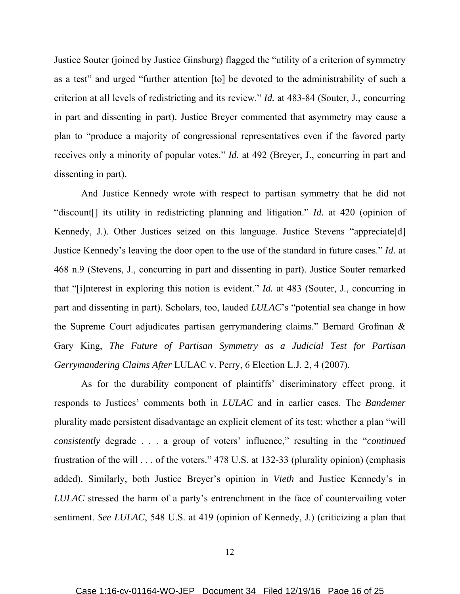Justice Souter (joined by Justice Ginsburg) flagged the "utility of a criterion of symmetry as a test" and urged "further attention [to] be devoted to the administrability of such a criterion at all levels of redistricting and its review." *Id.* at 483-84 (Souter, J., concurring in part and dissenting in part). Justice Breyer commented that asymmetry may cause a plan to "produce a majority of congressional representatives even if the favored party receives only a minority of popular votes." *Id.* at 492 (Breyer, J., concurring in part and dissenting in part).

 And Justice Kennedy wrote with respect to partisan symmetry that he did not "discount[] its utility in redistricting planning and litigation." *Id.* at 420 (opinion of Kennedy, J.). Other Justices seized on this language. Justice Stevens "appreciate[d] Justice Kennedy's leaving the door open to the use of the standard in future cases." *Id.* at 468 n.9 (Stevens, J., concurring in part and dissenting in part). Justice Souter remarked that "[i]nterest in exploring this notion is evident." *Id.* at 483 (Souter, J., concurring in part and dissenting in part). Scholars, too, lauded *LULAC*'s "potential sea change in how the Supreme Court adjudicates partisan gerrymandering claims." Bernard Grofman & Gary King, *The Future of Partisan Symmetry as a Judicial Test for Partisan Gerrymandering Claims After* LULAC v. Perry, 6 Election L.J. 2, 4 (2007).

 As for the durability component of plaintiffs' discriminatory effect prong, it responds to Justices' comments both in *LULAC* and in earlier cases. The *Bandemer* plurality made persistent disadvantage an explicit element of its test: whether a plan "will *consistently* degrade . . . a group of voters' influence," resulting in the "*continued* frustration of the will . . . of the voters." 478 U.S. at 132-33 (plurality opinion) (emphasis added). Similarly, both Justice Breyer's opinion in *Vieth* and Justice Kennedy's in *LULAC* stressed the harm of a party's entrenchment in the face of countervailing voter sentiment. *See LULAC*, 548 U.S. at 419 (opinion of Kennedy, J.) (criticizing a plan that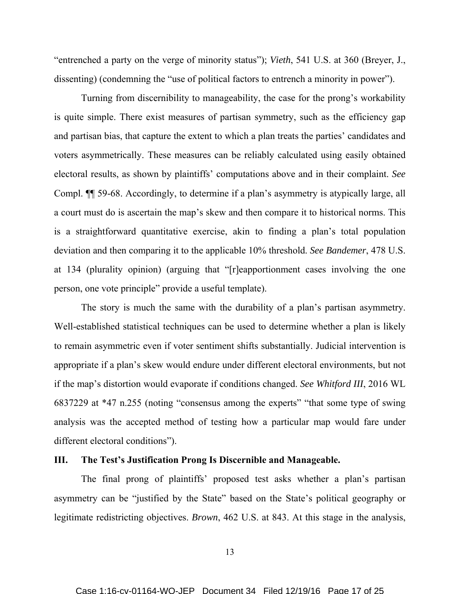"entrenched a party on the verge of minority status"); *Vieth*, 541 U.S. at 360 (Breyer, J., dissenting) (condemning the "use of political factors to entrench a minority in power").

 Turning from discernibility to manageability, the case for the prong's workability is quite simple. There exist measures of partisan symmetry, such as the efficiency gap and partisan bias, that capture the extent to which a plan treats the parties' candidates and voters asymmetrically. These measures can be reliably calculated using easily obtained electoral results, as shown by plaintiffs' computations above and in their complaint. *See* Compl. ¶¶ 59-68. Accordingly, to determine if a plan's asymmetry is atypically large, all a court must do is ascertain the map's skew and then compare it to historical norms. This is a straightforward quantitative exercise, akin to finding a plan's total population deviation and then comparing it to the applicable 10% threshold. *See Bandemer*, 478 U.S. at 134 (plurality opinion) (arguing that "[r]eapportionment cases involving the one person, one vote principle" provide a useful template).

 The story is much the same with the durability of a plan's partisan asymmetry. Well-established statistical techniques can be used to determine whether a plan is likely to remain asymmetric even if voter sentiment shifts substantially. Judicial intervention is appropriate if a plan's skew would endure under different electoral environments, but not if the map's distortion would evaporate if conditions changed. *See Whitford III*, 2016 WL 6837229 at \*47 n.255 (noting "consensus among the experts" "that some type of swing analysis was the accepted method of testing how a particular map would fare under different electoral conditions").

## **III. The Test's Justification Prong Is Discernible and Manageable.**

The final prong of plaintiffs' proposed test asks whether a plan's partisan asymmetry can be "justified by the State" based on the State's political geography or legitimate redistricting objectives. *Brown*, 462 U.S. at 843. At this stage in the analysis,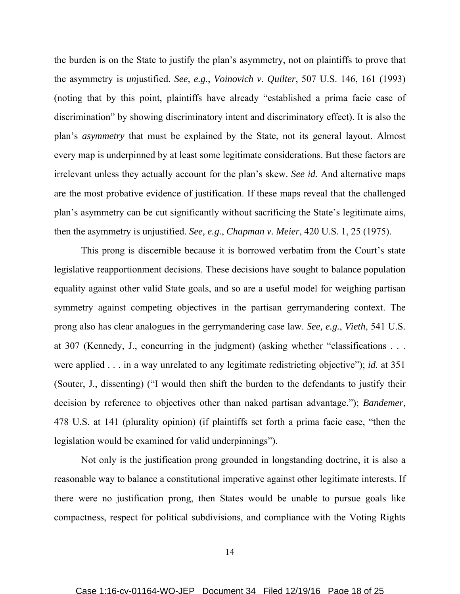the burden is on the State to justify the plan's asymmetry, not on plaintiffs to prove that the asymmetry is *un*justified. *See, e.g.*, *Voinovich v. Quilter*, 507 U.S. 146, 161 (1993) (noting that by this point, plaintiffs have already "established a prima facie case of discrimination" by showing discriminatory intent and discriminatory effect). It is also the plan's *asymmetry* that must be explained by the State, not its general layout. Almost every map is underpinned by at least some legitimate considerations. But these factors are irrelevant unless they actually account for the plan's skew. *See id.* And alternative maps are the most probative evidence of justification. If these maps reveal that the challenged plan's asymmetry can be cut significantly without sacrificing the State's legitimate aims, then the asymmetry is unjustified. *See, e.g.*, *Chapman v. Meier*, 420 U.S. 1, 25 (1975).

 This prong is discernible because it is borrowed verbatim from the Court's state legislative reapportionment decisions. These decisions have sought to balance population equality against other valid State goals, and so are a useful model for weighing partisan symmetry against competing objectives in the partisan gerrymandering context. The prong also has clear analogues in the gerrymandering case law. *See, e.g.*, *Vieth*, 541 U.S. at 307 (Kennedy, J., concurring in the judgment) (asking whether "classifications . . . were applied . . . in a way unrelated to any legitimate redistricting objective"); *id.* at 351 (Souter, J., dissenting) ("I would then shift the burden to the defendants to justify their decision by reference to objectives other than naked partisan advantage."); *Bandemer*, 478 U.S. at 141 (plurality opinion) (if plaintiffs set forth a prima facie case, "then the legislation would be examined for valid underpinnings").

 Not only is the justification prong grounded in longstanding doctrine, it is also a reasonable way to balance a constitutional imperative against other legitimate interests. If there were no justification prong, then States would be unable to pursue goals like compactness, respect for political subdivisions, and compliance with the Voting Rights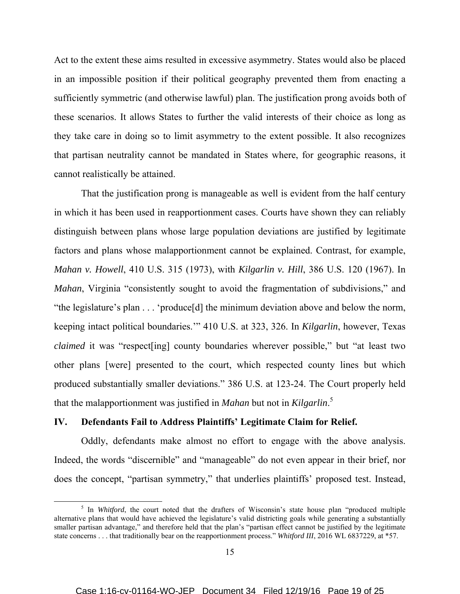Act to the extent these aims resulted in excessive asymmetry. States would also be placed in an impossible position if their political geography prevented them from enacting a sufficiently symmetric (and otherwise lawful) plan. The justification prong avoids both of these scenarios. It allows States to further the valid interests of their choice as long as they take care in doing so to limit asymmetry to the extent possible. It also recognizes that partisan neutrality cannot be mandated in States where, for geographic reasons, it cannot realistically be attained.

 That the justification prong is manageable as well is evident from the half century in which it has been used in reapportionment cases. Courts have shown they can reliably distinguish between plans whose large population deviations are justified by legitimate factors and plans whose malapportionment cannot be explained. Contrast, for example, *Mahan v. Howell*, 410 U.S. 315 (1973), with *Kilgarlin v. Hill*, 386 U.S. 120 (1967). In *Mahan*, Virginia "consistently sought to avoid the fragmentation of subdivisions," and "the legislature's plan . . . 'produce[d] the minimum deviation above and below the norm, keeping intact political boundaries.'" 410 U.S. at 323, 326. In *Kilgarlin*, however, Texas *claimed* it was "respect [ing] county boundaries wherever possible," but "at least two other plans [were] presented to the court, which respected county lines but which produced substantially smaller deviations." 386 U.S. at 123-24. The Court properly held that the malapportionment was justified in *Mahan* but not in *Kilgarlin*. 5

## **IV. Defendants Fail to Address Plaintiffs' Legitimate Claim for Relief.**

Oddly, defendants make almost no effort to engage with the above analysis. Indeed, the words "discernible" and "manageable" do not even appear in their brief, nor does the concept, "partisan symmetry," that underlies plaintiffs' proposed test. Instead,

<sup>&</sup>lt;sup>5</sup> In *Whitford*, the court noted that the drafters of Wisconsin's state house plan "produced multiple" alternative plans that would have achieved the legislature's valid districting goals while generating a substantially smaller partisan advantage," and therefore held that the plan's "partisan effect cannot be justified by the legitimate state concerns . . . that traditionally bear on the reapportionment process." *Whitford III*, 2016 WL 6837229, at \*57.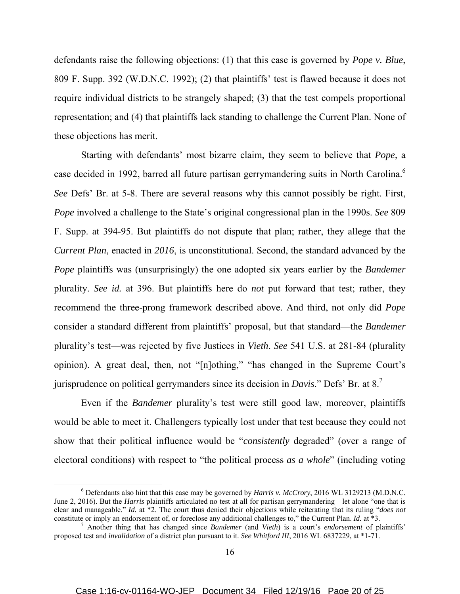defendants raise the following objections: (1) that this case is governed by *Pope v. Blue*, 809 F. Supp. 392 (W.D.N.C. 1992); (2) that plaintiffs' test is flawed because it does not require individual districts to be strangely shaped; (3) that the test compels proportional representation; and (4) that plaintiffs lack standing to challenge the Current Plan. None of these objections has merit.

 Starting with defendants' most bizarre claim, they seem to believe that *Pope*, a case decided in 1992, barred all future partisan gerrymandering suits in North Carolina.<sup>6</sup> *See* Defs' Br. at 5-8. There are several reasons why this cannot possibly be right. First, *Pope* involved a challenge to the State's original congressional plan in the 1990s. *See* 809 F. Supp. at 394-95. But plaintiffs do not dispute that plan; rather, they allege that the *Current Plan*, enacted in *2016*, is unconstitutional. Second, the standard advanced by the *Pope* plaintiffs was (unsurprisingly) the one adopted six years earlier by the *Bandemer* plurality. *See id.* at 396. But plaintiffs here do *not* put forward that test; rather, they recommend the three-prong framework described above. And third, not only did *Pope* consider a standard different from plaintiffs' proposal, but that standard—the *Bandemer* plurality's test—was rejected by five Justices in *Vieth*. *See* 541 U.S. at 281-84 (plurality opinion). A great deal, then, not "[n]othing," "has changed in the Supreme Court's jurisprudence on political gerrymanders since its decision in *Davis*." Defs' Br. at 8.7

 Even if the *Bandemer* plurality's test were still good law, moreover, plaintiffs would be able to meet it. Challengers typically lost under that test because they could not show that their political influence would be "*consistently* degraded" (over a range of electoral conditions) with respect to "the political process *as a whole*" (including voting

 <sup>6</sup> Defendants also hint that this case may be governed by *Harris v. McCrory*, 2016 WL 3129213 (M.D.N.C. June 2, 2016). But the *Harris* plaintiffs articulated no test at all for partisan gerrymandering—let alone "one that is clear and manageable." *Id.* at \*2. The court thus denied their objections while reiterating that its ruling "*does not* constitute or imply an endorsement of, or foreclose any additional challenges to," the Current Plan. *Id.* at \*3.

Another thing that has changed since *Bandemer* (and *Vieth*) is a court's *endorsement* of plaintiffs' proposed test and *invalidation* of a district plan pursuant to it. *See Whitford III*, 2016 WL 6837229, at \*1-71.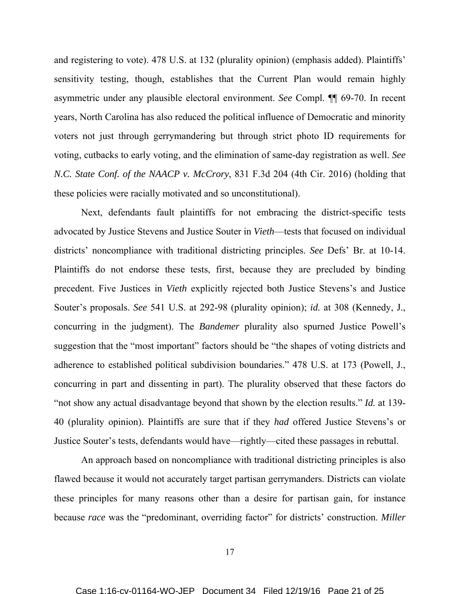and registering to vote). 478 U.S. at 132 (plurality opinion) (emphasis added). Plaintiffs' sensitivity testing, though, establishes that the Current Plan would remain highly asymmetric under any plausible electoral environment. *See* Compl. ¶¶ 69-70. In recent years, North Carolina has also reduced the political influence of Democratic and minority voters not just through gerrymandering but through strict photo ID requirements for voting, cutbacks to early voting, and the elimination of same-day registration as well. *See N.C. State Conf. of the NAACP v. McCrory*, 831 F.3d 204 (4th Cir. 2016) (holding that these policies were racially motivated and so unconstitutional).

 Next, defendants fault plaintiffs for not embracing the district-specific tests advocated by Justice Stevens and Justice Souter in *Vieth*—tests that focused on individual districts' noncompliance with traditional districting principles. *See* Defs' Br. at 10-14. Plaintiffs do not endorse these tests, first, because they are precluded by binding precedent. Five Justices in *Vieth* explicitly rejected both Justice Stevens's and Justice Souter's proposals. *See* 541 U.S. at 292-98 (plurality opinion); *id.* at 308 (Kennedy, J., concurring in the judgment). The *Bandemer* plurality also spurned Justice Powell's suggestion that the "most important" factors should be "the shapes of voting districts and adherence to established political subdivision boundaries." 478 U.S. at 173 (Powell, J., concurring in part and dissenting in part). The plurality observed that these factors do "not show any actual disadvantage beyond that shown by the election results." *Id.* at 139- 40 (plurality opinion). Plaintiffs are sure that if they *had* offered Justice Stevens's or Justice Souter's tests, defendants would have—rightly—cited these passages in rebuttal.

 An approach based on noncompliance with traditional districting principles is also flawed because it would not accurately target partisan gerrymanders. Districts can violate these principles for many reasons other than a desire for partisan gain, for instance because *race* was the "predominant, overriding factor" for districts' construction. *Miller*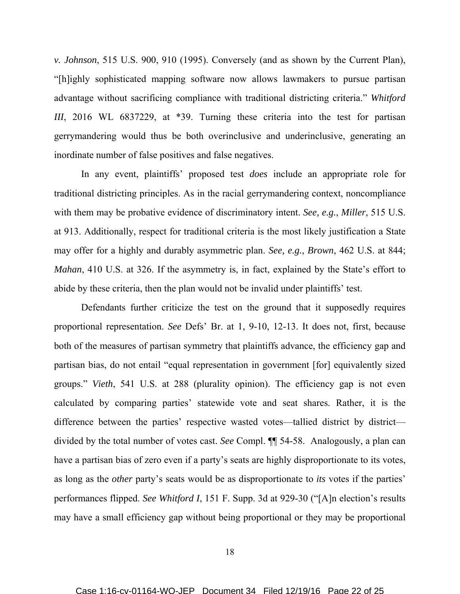*v. Johnson*, 515 U.S. 900, 910 (1995). Conversely (and as shown by the Current Plan), "[h]ighly sophisticated mapping software now allows lawmakers to pursue partisan advantage without sacrificing compliance with traditional districting criteria." *Whitford III*, 2016 WL 6837229, at \*39. Turning these criteria into the test for partisan gerrymandering would thus be both overinclusive and underinclusive, generating an inordinate number of false positives and false negatives.

 In any event, plaintiffs' proposed test *does* include an appropriate role for traditional districting principles. As in the racial gerrymandering context, noncompliance with them may be probative evidence of discriminatory intent. *See, e.g.*, *Miller*, 515 U.S. at 913. Additionally, respect for traditional criteria is the most likely justification a State may offer for a highly and durably asymmetric plan. *See, e.g.*, *Brown*, 462 U.S. at 844; *Mahan*, 410 U.S. at 326. If the asymmetry is, in fact, explained by the State's effort to abide by these criteria, then the plan would not be invalid under plaintiffs' test.

 Defendants further criticize the test on the ground that it supposedly requires proportional representation. *See* Defs' Br. at 1, 9-10, 12-13. It does not, first, because both of the measures of partisan symmetry that plaintiffs advance, the efficiency gap and partisan bias, do not entail "equal representation in government [for] equivalently sized groups." *Vieth*, 541 U.S. at 288 (plurality opinion). The efficiency gap is not even calculated by comparing parties' statewide vote and seat shares. Rather, it is the difference between the parties' respective wasted votes—tallied district by district divided by the total number of votes cast. *See* Compl. ¶¶ 54-58. Analogously, a plan can have a partisan bias of zero even if a party's seats are highly disproportionate to its votes, as long as the *other* party's seats would be as disproportionate to *its* votes if the parties' performances flipped. *See Whitford I*, 151 F. Supp. 3d at 929-30 ("[A]n election's results may have a small efficiency gap without being proportional or they may be proportional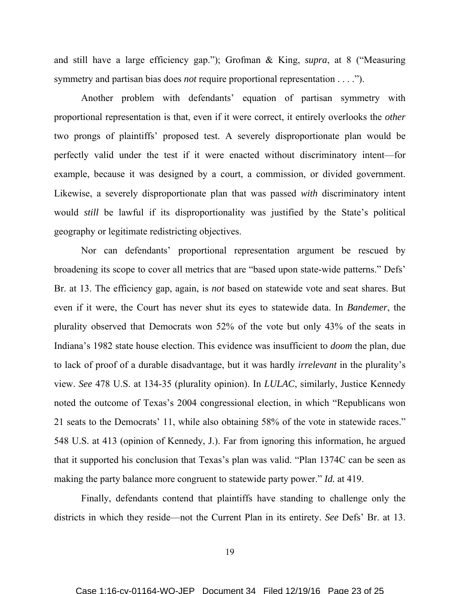and still have a large efficiency gap."); Grofman & King, *supra*, at 8 ("Measuring symmetry and partisan bias does *not* require proportional representation . . . .").

 Another problem with defendants' equation of partisan symmetry with proportional representation is that, even if it were correct, it entirely overlooks the *other* two prongs of plaintiffs' proposed test. A severely disproportionate plan would be perfectly valid under the test if it were enacted without discriminatory intent—for example, because it was designed by a court, a commission, or divided government. Likewise, a severely disproportionate plan that was passed *with* discriminatory intent would *still* be lawful if its disproportionality was justified by the State's political geography or legitimate redistricting objectives.

 Nor can defendants' proportional representation argument be rescued by broadening its scope to cover all metrics that are "based upon state-wide patterns." Defs' Br. at 13. The efficiency gap, again, is *not* based on statewide vote and seat shares. But even if it were, the Court has never shut its eyes to statewide data. In *Bandemer*, the plurality observed that Democrats won 52% of the vote but only 43% of the seats in Indiana's 1982 state house election. This evidence was insufficient to *doom* the plan, due to lack of proof of a durable disadvantage, but it was hardly *irrelevant* in the plurality's view. *See* 478 U.S. at 134-35 (plurality opinion). In *LULAC*, similarly, Justice Kennedy noted the outcome of Texas's 2004 congressional election, in which "Republicans won 21 seats to the Democrats' 11, while also obtaining 58% of the vote in statewide races." 548 U.S. at 413 (opinion of Kennedy, J.). Far from ignoring this information, he argued that it supported his conclusion that Texas's plan was valid. "Plan 1374C can be seen as making the party balance more congruent to statewide party power." *Id.* at 419.

 Finally, defendants contend that plaintiffs have standing to challenge only the districts in which they reside—not the Current Plan in its entirety. *See* Defs' Br. at 13.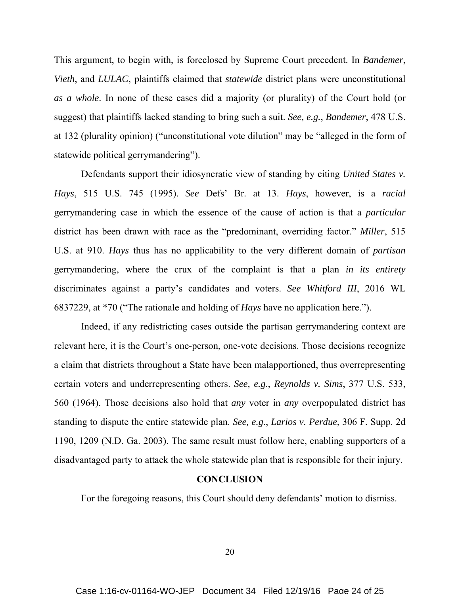This argument, to begin with, is foreclosed by Supreme Court precedent. In *Bandemer*, *Vieth*, and *LULAC*, plaintiffs claimed that *statewide* district plans were unconstitutional *as a whole*. In none of these cases did a majority (or plurality) of the Court hold (or suggest) that plaintiffs lacked standing to bring such a suit. *See, e.g.*, *Bandemer*, 478 U.S. at 132 (plurality opinion) ("unconstitutional vote dilution" may be "alleged in the form of statewide political gerrymandering").

 Defendants support their idiosyncratic view of standing by citing *United States v. Hays*, 515 U.S. 745 (1995). *See* Defs' Br. at 13. *Hays*, however, is a *racial* gerrymandering case in which the essence of the cause of action is that a *particular* district has been drawn with race as the "predominant, overriding factor." *Miller*, 515 U.S. at 910. *Hays* thus has no applicability to the very different domain of *partisan* gerrymandering, where the crux of the complaint is that a plan *in its entirety* discriminates against a party's candidates and voters. *See Whitford III*, 2016 WL 6837229, at \*70 ("The rationale and holding of *Hays* have no application here.").

 Indeed, if any redistricting cases outside the partisan gerrymandering context are relevant here, it is the Court's one-person, one-vote decisions. Those decisions recognize a claim that districts throughout a State have been malapportioned, thus overrepresenting certain voters and underrepresenting others. *See, e.g.*, *Reynolds v. Sims*, 377 U.S. 533, 560 (1964). Those decisions also hold that *any* voter in *any* overpopulated district has standing to dispute the entire statewide plan. *See, e.g.*, *Larios v. Perdue*, 306 F. Supp. 2d 1190, 1209 (N.D. Ga. 2003). The same result must follow here, enabling supporters of a disadvantaged party to attack the whole statewide plan that is responsible for their injury.

## **CONCLUSION**

For the foregoing reasons, this Court should deny defendants' motion to dismiss.

20